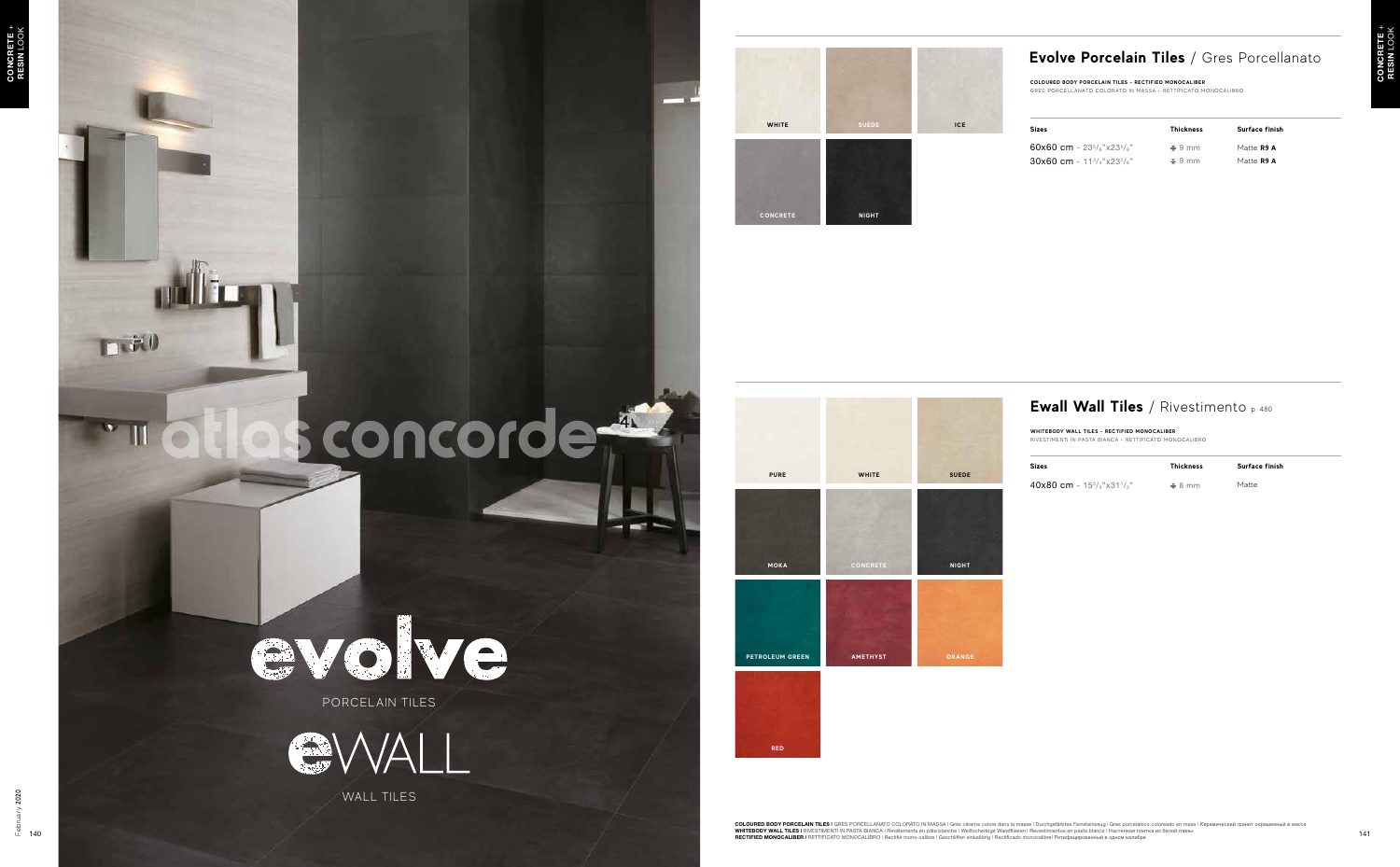# evolve PORCELAIN TILES



WALL TILES

#### **Evolve Porcelain Tiles** / Gres Porcellanato



**TRAO** 

# sconcorde

**COLOURED BODY PORCELAIN TILES - RECTIFIED MONOCALIBER** GRES PORCELLANATO COLORATO IN MASSA - RETTIFICATO MONOCALIBRO



| Sizes                                                                          | <b>Thickness</b> | Surface finish |
|--------------------------------------------------------------------------------|------------------|----------------|
| 60x60 cm - 23 <sup>5</sup> /s"x23 <sup>5</sup> /s"                             | $\pm$ 9 mm       | Matte R9 A     |
| $30x60$ cm - 11 <sup>3</sup> / <sub>4</sub> "x23 <sup>5</sup> / <sub>8</sub> " | $\pm$ 9 mm       | Matte R9 A     |





#### **Ewall Wall Tiles** / Rivestimento p. 480

**WHITEBODY WALL TILES - RECTIFIED MONOCALIBER**  RIVESTIMENTI IN PASTA BIANCA - RETTIFICATO MONOCALIBRO



| <b>Sizes</b>                                    | <b>Thickness</b> | Surface finish |  |
|-------------------------------------------------|------------------|----------------|--|
| 40x80 cm - $15\frac{3}{4}$ "x31 $\frac{1}{2}$ " | $\pm$ 8 mm       | Matte          |  |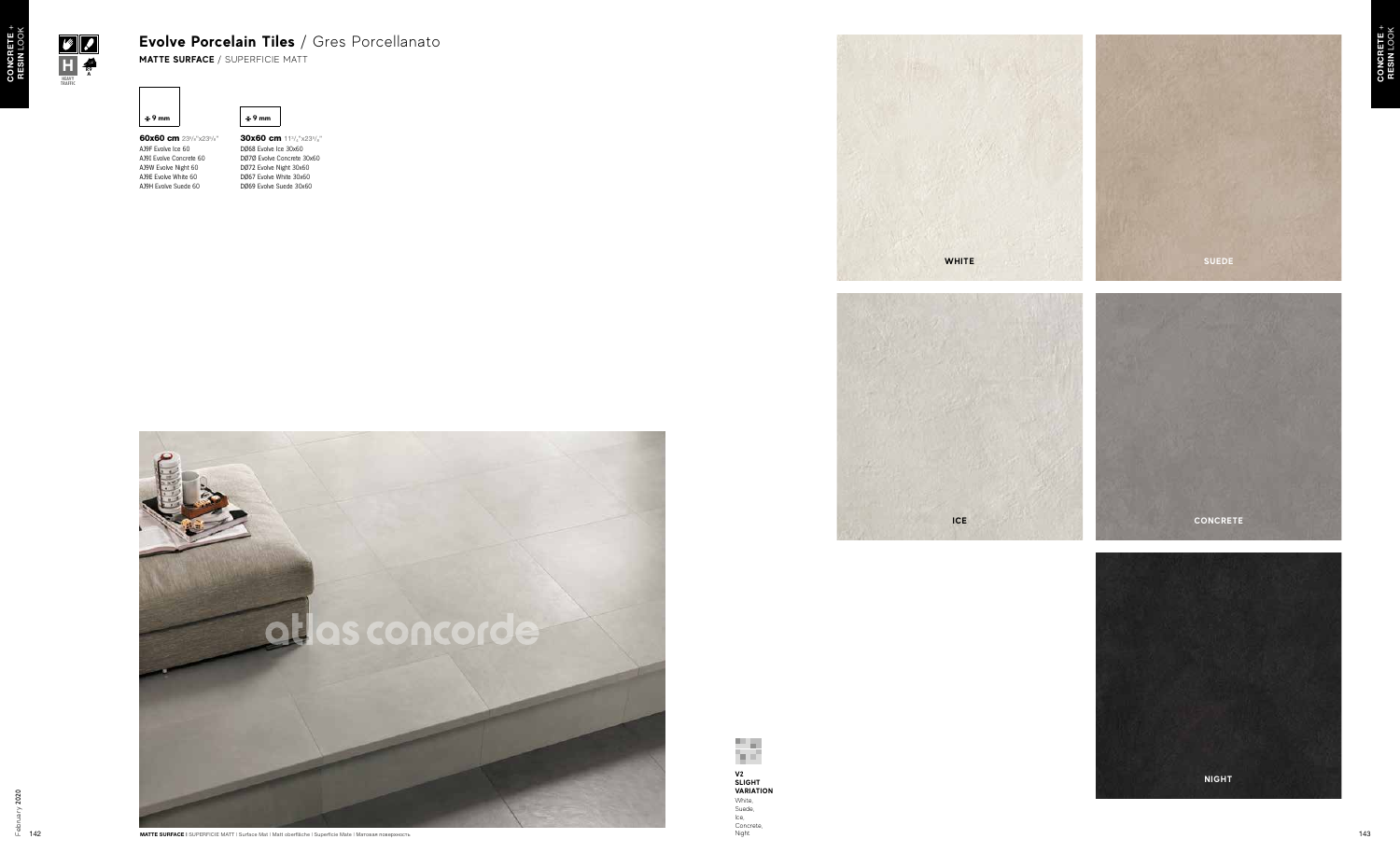

60x60 cm 235/8"x235/8" AJ9F Evolve Ice 60 AJ9I Evolve Concrete 60 AJ9W Evolve Night 60 AJ9E Evolve White 60 AJ9H Evolve Suede 60

30x60 cm 113/4"x235/8" DØ68 Evolve Ice 30x60 DØ7Ø Evolve Concrete 30x60 DØ72 Evolve Night 30x60 DØ67 Evolve White 30x60 DØ69 Evolve Suede 30x60

**d** <del>∄</del> 9 mm





**HEAVY TRAFFIC**

**H MATTE SURFACE** / SUPERFICIE MATT **R9**

**A**







## **Evolve Porcelain Tiles** / Gres Porcellanato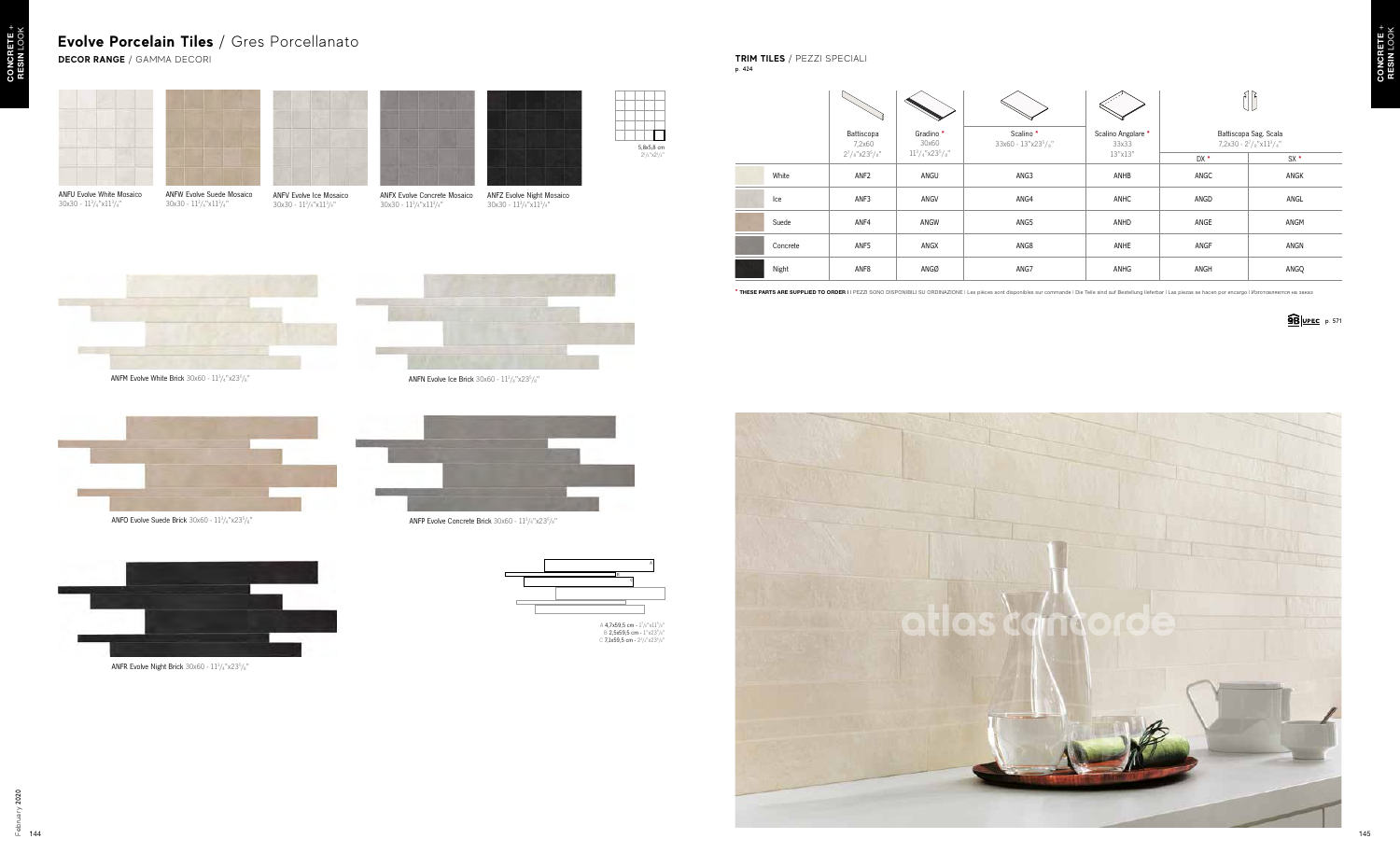| dino *<br>0x60 | Scalino*<br>33x60 - 13"x23 <sup>5</sup> /s" | Scalino Angolare *<br>33x33 |      | Battiscopa Sag. Scala<br>$7,2x30 - 2^7/s''x11^3/z''$ |  |
|----------------|---------------------------------------------|-----------------------------|------|------------------------------------------------------|--|
| $"x23^5/s"$    |                                             | 13"x13"                     | DX * | $SX*$                                                |  |
| NGU            | ANG3                                        | ANHB                        | ANGC | ANGK                                                 |  |
| <b>NGV</b>     | ANG4                                        | ANHC                        | ANGD | ANGL                                                 |  |
| <b>NGW</b>     | ANG5                                        | ANHD                        | ANGE | ANGM                                                 |  |
| <b>NGX</b>     | ANG8                                        | ANHE                        | ANGF | ANGN                                                 |  |
| NGØ            | ANG7                                        | ANHG                        | ANGH | ANGQ                                                 |  |
|                |                                             |                             |      |                                                      |  |





**DECOR RANGE** / GAMMA DECORI

### **Evolve Porcelain Tiles** / Gres Porcellanato

**TRIM TILES** / PEZZI SPECIALI